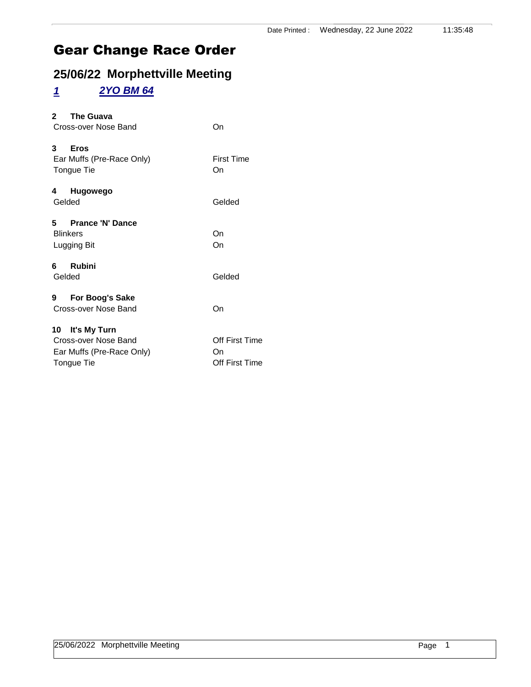## **25/06/22 Morphettville Meeting**

#### *1 2YO BM 64*

| The Guava<br>$\mathbf{2}$<br>Cross-over Nose Band                                  | On                                     |
|------------------------------------------------------------------------------------|----------------------------------------|
| 3<br><b>Eros</b><br>Ear Muffs (Pre-Race Only)<br>Tongue Tie                        | <b>First Time</b><br>On                |
| 4 Hugowego<br>Gelded                                                               | Gelded                                 |
| 5 Prance 'N' Dance<br><b>Blinkers</b><br>Lugging Bit                               | On<br>On                               |
| <b>Rubini</b><br>6<br>Gelded                                                       | Gelded                                 |
| For Boog's Sake<br>9<br>Cross-over Nose Band                                       | On                                     |
| 10 It's My Turn<br>Cross-over Nose Band<br>Ear Muffs (Pre-Race Only)<br>Tongue Tie | Off First Time<br>On<br>Off First Time |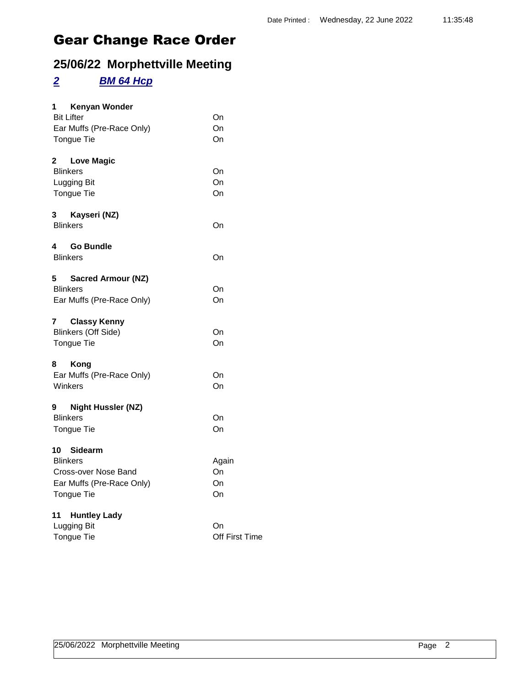### **25/06/22 Morphettville Meeting**

#### *2 BM 64 Hcp*

| 1 Kenyan Wonder                   |                             |
|-----------------------------------|-----------------------------|
| <b>Bit Lifter</b>                 | On                          |
| Ear Muffs (Pre-Race Only)         | On                          |
| <b>Tongue Tie</b>                 | On                          |
| $\mathbf{2}$<br><b>Love Magic</b> |                             |
| <b>Blinkers</b>                   | On                          |
| Lugging Bit                       | On                          |
| Tongue Tie                        | On                          |
| 3<br>Kayseri (NZ)                 |                             |
| <b>Blinkers</b>                   | On                          |
| <b>Go Bundle</b><br>4             |                             |
| <b>Blinkers</b>                   | On                          |
| 5<br><b>Sacred Armour (NZ)</b>    |                             |
| <b>Blinkers</b>                   | On                          |
| Ear Muffs (Pre-Race Only)         | On                          |
| <b>Classy Kenny</b><br>7          |                             |
| <b>Blinkers (Off Side)</b>        | On                          |
| Tongue Tie                        | On                          |
| 8<br>Kong                         |                             |
| Ear Muffs (Pre-Race Only)         | On                          |
| Winkers                           | On                          |
| <b>Night Hussler (NZ)</b><br>9    |                             |
| <b>Blinkers</b>                   | On                          |
| <b>Tongue Tie</b>                 | On                          |
| 10 Sidearm                        |                             |
| <b>Blinkers</b>                   | Again                       |
| Cross-over Nose Band              | On                          |
| Ear Muffs (Pre-Race Only)         | On<br>On                    |
| <b>Tongue Tie</b>                 |                             |
| 11<br><b>Huntley Lady</b>         |                             |
| Lugging Bit<br><b>Tongue Tie</b>  | On<br><b>Off First Time</b> |
|                                   |                             |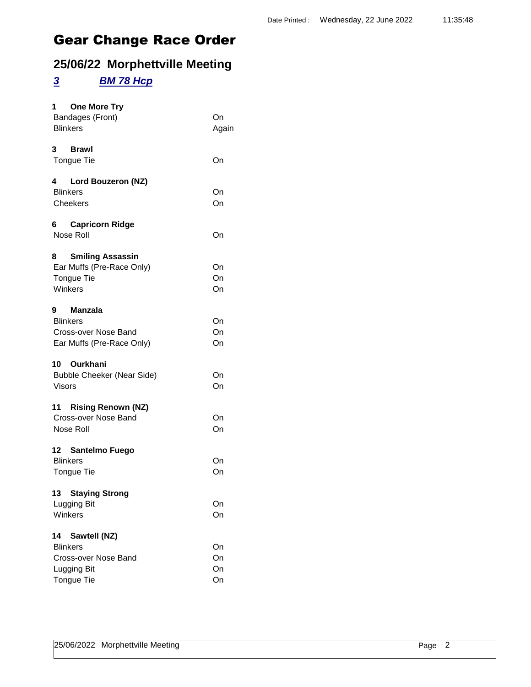### **25/06/22 Morphettville Meeting**

#### *3 BM 78 Hcp*

| <b>One More Try</b><br>1<br>Bandages (Front)<br><b>Blinkers</b>                                   | On<br>Again          |
|---------------------------------------------------------------------------------------------------|----------------------|
| 3<br><b>Brawl</b><br>Tongue Tie                                                                   | On                   |
| 4<br>Lord Bouzeron (NZ)<br><b>Blinkers</b><br>Cheekers                                            | On<br>On             |
| 6 Capricorn Ridge<br>Nose Roll                                                                    | On                   |
| <b>Smiling Assassin</b><br>8<br>Ear Muffs (Pre-Race Only)<br>Tongue Tie<br>Winkers                | On<br>On<br>On       |
| 9<br>Manzala<br><b>Blinkers</b><br>Cross-over Nose Band<br>Ear Muffs (Pre-Race Only)              | On<br>On<br>On       |
| 10<br>Ourkhani<br><b>Bubble Cheeker (Near Side)</b><br><b>Visors</b>                              | On<br>On             |
| 11 Rising Renown (NZ)<br>Cross-over Nose Band<br>Nose Roll                                        | On<br>On             |
| 12 Santelmo Fuego<br><b>Blinkers</b><br>Tongue Tie                                                | On<br>On             |
| 13 Staying Strong<br>Lugging Bit<br>Winkers                                                       | On<br>On             |
| Sawtell (NZ)<br>14<br><b>Blinkers</b><br>Cross-over Nose Band<br>Lugging Bit<br><b>Tongue Tie</b> | On<br>On<br>On<br>On |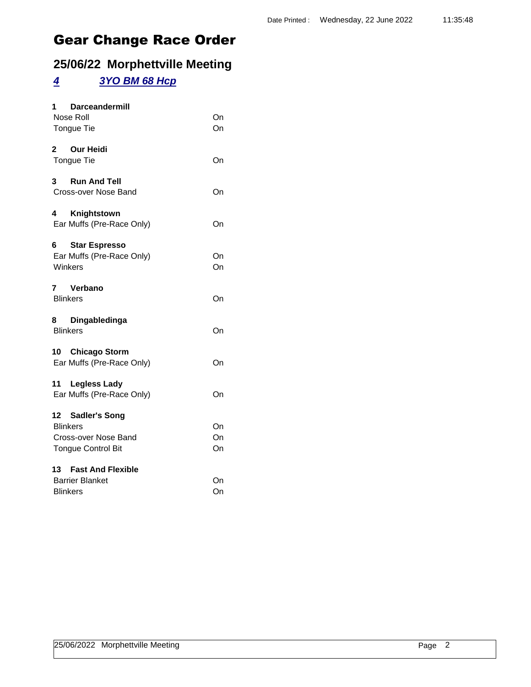### **25/06/22 Morphettville Meeting**

#### *4 3YO BM 68 Hcp*

| 1 Darceandermill                     |          |
|--------------------------------------|----------|
| Nose Roll<br>Tongue Tie              | On<br>On |
| 2 Our Heidi                          |          |
| Tongue Tie                           | On       |
| 3 Run And Tell                       |          |
| Cross-over Nose Band                 | On       |
| 4<br>Knightstown                     |          |
| Ear Muffs (Pre-Race Only)            | On       |
| 6 —<br><b>Star Espresso</b>          |          |
| Ear Muffs (Pre-Race Only)<br>Winkers | On<br>On |
| 7 Verbano                            |          |
| <b>Blinkers</b>                      | On       |
| 8 Dingabledinga<br><b>Blinkers</b>   | On       |
| 10 Chicago Storm                     |          |
| Ear Muffs (Pre-Race Only)            | On       |
| 11 Legless Lady                      |          |
| Ear Muffs (Pre-Race Only)            | On       |
| 12 Sadler's Song                     |          |
| <b>Blinkers</b>                      | On       |
| Cross-over Nose Band                 | On       |
| <b>Tongue Control Bit</b>            | On       |
| 13<br><b>Fast And Flexible</b>       |          |
| <b>Barrier Blanket</b>               | On       |
| <b>Blinkers</b>                      | On       |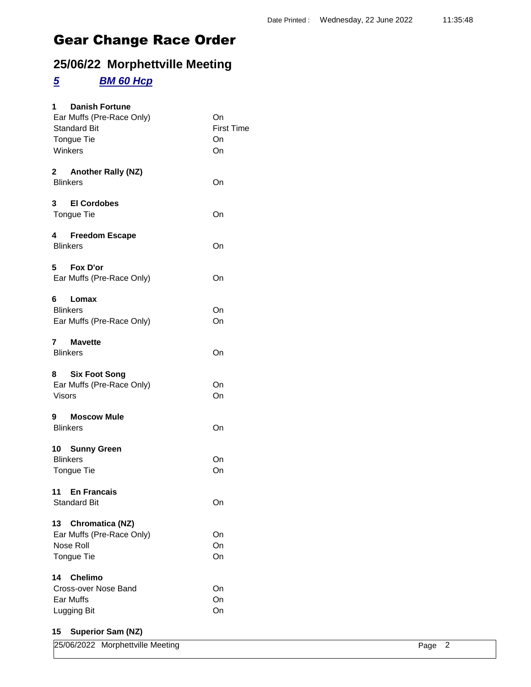### **25/06/22 Morphettville Meeting**

#### *5 BM 60 Hcp*

| 1 Danish Fortune<br>Ear Muffs (Pre-Race Only)<br><b>Standard Bit</b><br>Tongue Tie<br>Winkers | On<br><b>First Time</b><br>On<br>On |
|-----------------------------------------------------------------------------------------------|-------------------------------------|
| 2 Another Rally (NZ)<br><b>Blinkers</b>                                                       | On                                  |
| 3 El Cordobes<br>Tongue Tie                                                                   | On                                  |
| 4 Freedom Escape<br><b>Blinkers</b>                                                           | On                                  |
| 5 Fox D'or<br>Ear Muffs (Pre-Race Only)                                                       | On                                  |
| Lomax<br><b>Blinkers</b><br>Ear Muffs (Pre-Race Only)                                         | On<br>On                            |
| 7<br><b>Mavette</b><br><b>Blinkers</b>                                                        | On                                  |
| 8 Six Foot Song<br>Ear Muffs (Pre-Race Only)<br><b>Visors</b>                                 | On<br>On                            |
| 9 Moscow Mule<br><b>Blinkers</b>                                                              | On                                  |
| 10 Sunny Green<br><b>Blinkers</b><br><b>Tongue Tie</b><br>11 En Francais                      | On<br>On                            |
| <b>Standard Bit</b>                                                                           | On                                  |
| 13 Chromatica (NZ)<br>Ear Muffs (Pre-Race Only)<br>Nose Roll<br><b>Tongue Tie</b>             | On<br>On<br>On                      |
| <b>Chelimo</b><br>14<br>Cross-over Nose Band<br>Ear Muffs<br>Lugging Bit                      | On<br>On<br>On                      |

#### **15 Superior Sam (NZ)**

| 25/06/2022 Morphettville Meeting | Page 2 |  |
|----------------------------------|--------|--|
|                                  |        |  |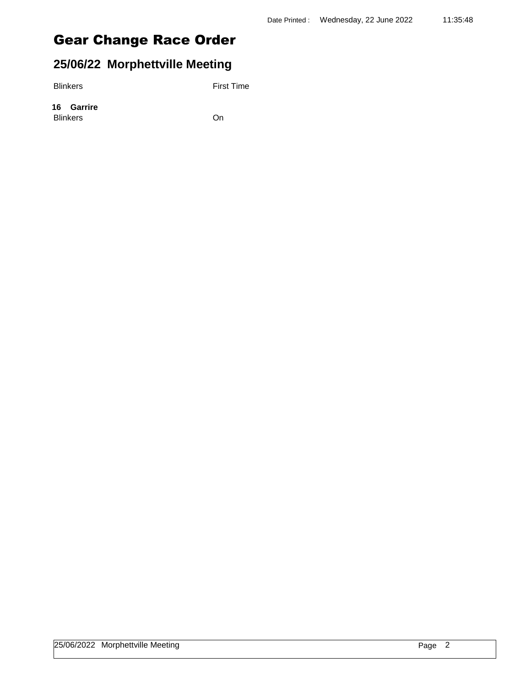### **25/06/22 Morphettville Meeting**

Blinkers First Time

**16 Garrire** Blinkers On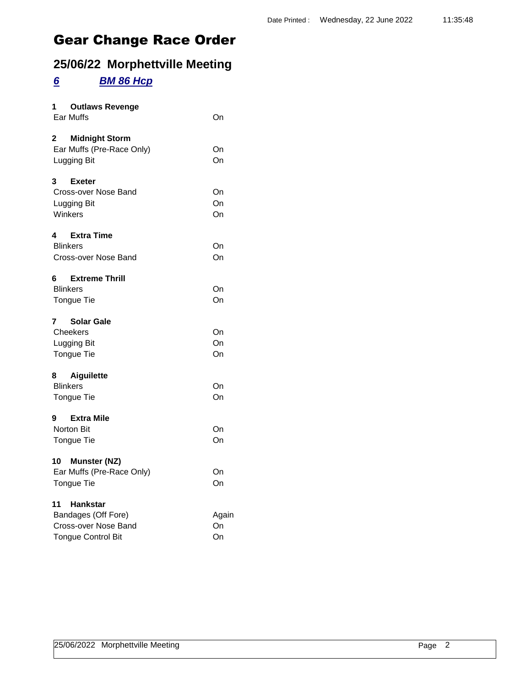### **25/06/22 Morphettville Meeting**

#### *6 BM 86 Hcp*

| 1 Outlaws Revenge<br><b>Ear Muffs</b>                                                             | On                |
|---------------------------------------------------------------------------------------------------|-------------------|
| $\mathbf{2}^-$<br><b>Midnight Storm</b><br>Ear Muffs (Pre-Race Only)<br>Lugging Bit               | On<br>On          |
| 3<br><b>Exeter</b><br>Cross-over Nose Band<br>Lugging Bit<br>Winkers                              | On<br>On<br>On    |
| 4 Extra Time<br><b>Blinkers</b><br>Cross-over Nose Band                                           | On<br>On          |
| <b>Extreme Thrill</b><br>6<br><b>Blinkers</b><br><b>Tongue Tie</b>                                | On<br>On          |
| $\mathbf{7}$<br><b>Solar Gale</b><br>Cheekers<br>Lugging Bit<br><b>Tongue Tie</b>                 | On<br>On<br>On    |
| 8<br>Aiguilette<br><b>Blinkers</b><br><b>Tongue Tie</b>                                           | On<br>On          |
| <b>Extra Mile</b><br>9<br><b>Norton Bit</b><br><b>Tongue Tie</b>                                  | On<br>On          |
| 10 Munster (NZ)<br>Ear Muffs (Pre-Race Only)<br>Tongue Tie                                        | On<br>On          |
| 11<br><b>Hankstar</b><br>Bandages (Off Fore)<br>Cross-over Nose Band<br><b>Tongue Control Bit</b> | Again<br>On<br>On |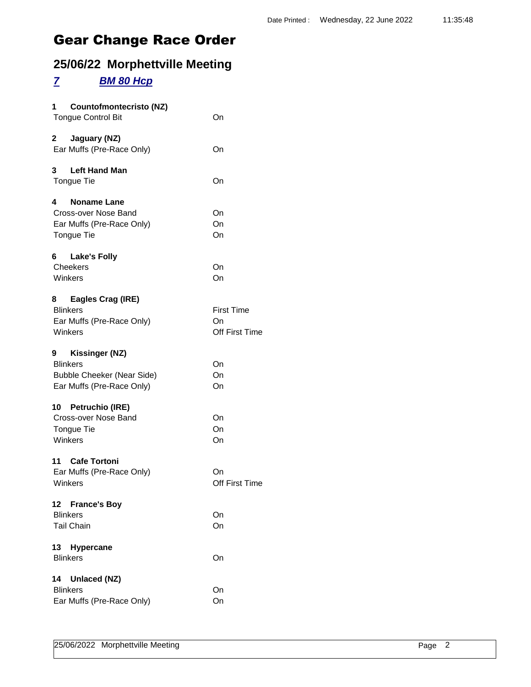### **25/06/22 Morphettville Meeting**

#### *7 BM 80 Hcp*

| 1<br>Countofmontecristo (NZ)<br><b>Tongue Control Bit</b>                                                | On                                        |
|----------------------------------------------------------------------------------------------------------|-------------------------------------------|
| 2<br>Jaguary (NZ)<br>Ear Muffs (Pre-Race Only)                                                           | On                                        |
| <b>Left Hand Man</b><br>3.<br>Tongue Tie                                                                 | On                                        |
| <b>Noname Lane</b><br>4<br>Cross-over Nose Band<br>Ear Muffs (Pre-Race Only)<br>Tongue Tie               | On<br>On<br>On                            |
| <b>Lake's Folly</b><br>6.<br>Cheekers<br>Winkers                                                         | On<br>On                                  |
| Eagles Crag (IRE)<br>8<br><b>Blinkers</b><br>Ear Muffs (Pre-Race Only)<br>Winkers                        | <b>First Time</b><br>On<br>Off First Time |
| 9<br>Kissinger (NZ)<br><b>Blinkers</b><br><b>Bubble Cheeker (Near Side)</b><br>Ear Muffs (Pre-Race Only) | On<br>On<br>On                            |
| 10 Petruchio (IRE)<br>Cross-over Nose Band<br>Tongue Tie<br>Winkers                                      | On<br>On<br>On                            |
| 11 Cafe Tortoni<br>Ear Muffs (Pre-Race Only)<br>Winkers                                                  | On<br>Off First Time                      |
| <b>France's Boy</b><br>12<br><b>Blinkers</b><br><b>Tail Chain</b>                                        | On<br>On                                  |
| 13<br><b>Hypercane</b><br><b>Blinkers</b>                                                                | On                                        |
| Unlaced (NZ)<br>14<br><b>Blinkers</b><br>Ear Muffs (Pre-Race Only)                                       | On<br>On                                  |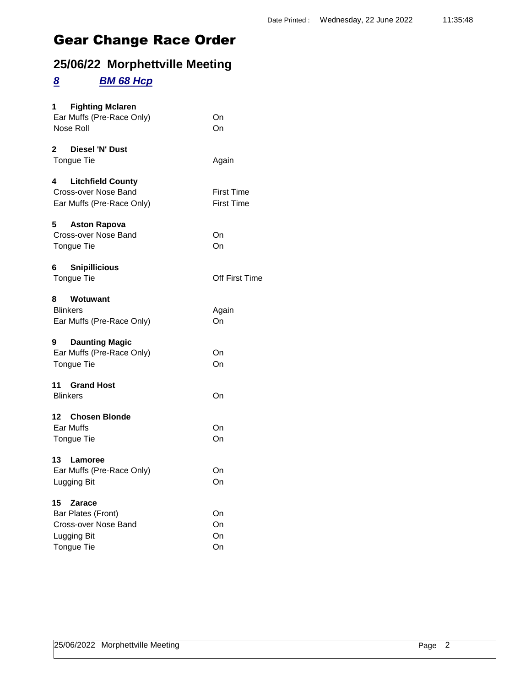### **25/06/22 Morphettville Meeting**

#### *8 BM 68 Hcp*

| 1 Fighting Mclaren<br>Ear Muffs (Pre-Race Only)<br>Nose Roll                                | On<br>On                               |
|---------------------------------------------------------------------------------------------|----------------------------------------|
| Diesel 'N' Dust<br>$\mathbf{2}$<br>Tongue Tie                                               | Again                                  |
| 4<br><b>Litchfield County</b><br>Cross-over Nose Band<br>Ear Muffs (Pre-Race Only)          | <b>First Time</b><br><b>First Time</b> |
| 5<br><b>Aston Rapova</b><br>Cross-over Nose Band<br>Tongue Tie                              | On<br>On                               |
| <b>Snipillicious</b><br>6<br>Tongue Tie                                                     | <b>Off First Time</b>                  |
| 8<br>Wotuwant<br><b>Blinkers</b><br>Ear Muffs (Pre-Race Only)                               | Again<br>On                            |
| 9<br><b>Daunting Magic</b><br>Ear Muffs (Pre-Race Only)<br>Tongue Tie                       | On<br>On                               |
| 11 Grand Host<br><b>Blinkers</b>                                                            | On                                     |
| 12 Chosen Blonde<br>Ear Muffs<br>Tongue Tie                                                 | On<br>On                               |
| 13 Lamoree<br>Ear Muffs (Pre-Race Only)<br>Lugging Bit                                      | On<br>On                               |
| 15 Zarace<br>Bar Plates (Front)<br>Cross-over Nose Band<br>Lugging Bit<br><b>Tongue Tie</b> | On<br>On<br>On<br>On                   |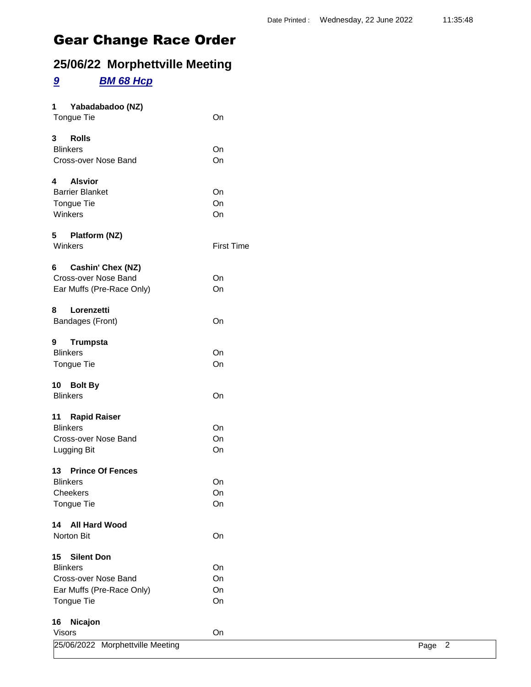## **25/06/22 Morphettville Meeting**

#### *9 BM 68 Hcp*

| 1             | Yabadabadoo (NZ)                 |                   |        |
|---------------|----------------------------------|-------------------|--------|
|               | Tongue Tie                       | On                |        |
| 3             | <b>Rolls</b>                     |                   |        |
|               | <b>Blinkers</b>                  | On                |        |
|               | Cross-over Nose Band             | On                |        |
| 4             | <b>Alsvior</b>                   |                   |        |
|               | <b>Barrier Blanket</b>           | On                |        |
|               | Tongue Tie                       | On                |        |
|               | Winkers                          | On                |        |
|               | 5 Platform (NZ)                  |                   |        |
|               | Winkers                          | <b>First Time</b> |        |
| 6             | Cashin' Chex (NZ)                |                   |        |
|               | Cross-over Nose Band             | On                |        |
|               | Ear Muffs (Pre-Race Only)        | On                |        |
| 8             | Lorenzetti                       |                   |        |
|               | Bandages (Front)                 | On                |        |
| 9             | <b>Trumpsta</b>                  |                   |        |
|               | <b>Blinkers</b>                  | On                |        |
|               | Tongue Tie                       | On                |        |
|               | 10 Bolt By                       |                   |        |
|               | <b>Blinkers</b>                  | On                |        |
|               | 11 Rapid Raiser                  |                   |        |
|               | <b>Blinkers</b>                  | On                |        |
|               | Cross-over Nose Band             | On                |        |
|               | Lugging Bit                      | On                |        |
|               | 13 Prince Of Fences              |                   |        |
|               | <b>Blinkers</b>                  | On                |        |
|               | Cheekers                         | On                |        |
|               | Tongue Tie                       | On                |        |
| 14            | <b>All Hard Wood</b>             |                   |        |
|               | Norton Bit                       | On                |        |
| 15            | <b>Silent Don</b>                |                   |        |
|               | <b>Blinkers</b>                  | On                |        |
|               | Cross-over Nose Band             | On                |        |
|               | Ear Muffs (Pre-Race Only)        | On                |        |
|               | Tongue Tie                       | On                |        |
| 16            | Nicajon                          |                   |        |
| <b>Visors</b> |                                  | On                |        |
|               | 25/06/2022 Morphettville Meeting |                   | Page 2 |